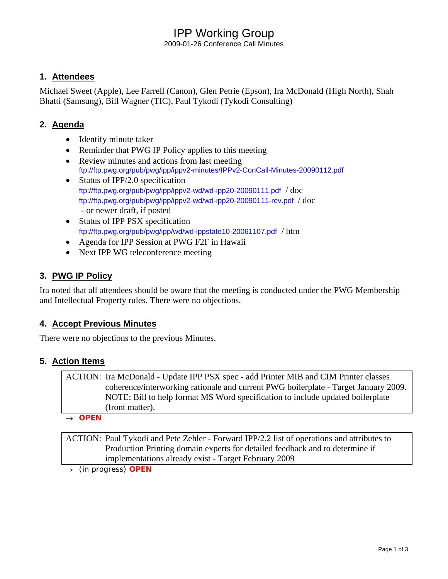# IPP Working Group

2009-01-26 Conference Call Minutes

### **1. Attendees**

Michael Sweet (Apple), Lee Farrell (Canon), Glen Petrie (Epson), Ira McDonald (High North), Shah Bhatti (Samsung), Bill Wagner (TIC), Paul Tykodi (Tykodi Consulting)

### **2. Agenda**

- Identify minute taker
- Reminder that PWG IP Policy applies to this meeting
- Review minutes and actions from last meeting <ftp://ftp.pwg.org/pub/pwg/ipp/ippv2-minutes/IPPv2-ConCall-Minutes-20090112.pdf>
- Status of IPP/2.0 specification <ftp://ftp.pwg.org/pub/pwg/ipp/ippv2-wd/wd-ipp20-20090111.pdf> / doc <ftp://ftp.pwg.org/pub/pwg/ipp/ippv2-wd/wd-ipp20-20090111-rev.pdf> / doc - or newer draft, if posted
- Status of IPP PSX specification <ftp://ftp.pwg.org/pub/pwg/ipp/wd/wd-ippstate10-20061107.pdf> / htm
- Agenda for IPP Session at PWG F2F in Hawaii
- Next IPP WG teleconference meeting

### **3. PWG IP Policy**

Ira noted that all attendees should be aware that the meeting is conducted under the PWG Membership and Intellectual Property rules. There were no objections.

#### **4. Accept Previous Minutes**

There were no objections to the previous Minutes.

#### **5. Action Items**

ACTION: Ira McDonald - Update IPP PSX spec - add Printer MIB and CIM Printer classes coherence/interworking rationale and current PWG boilerplate - Target January 2009. NOTE: Bill to help format MS Word specification to include updated boilerplate (front matter).

→ *OPEN*

ACTION: Paul Tykodi and Pete Zehler - Forward IPP/2.2 list of operations and attributes to Production Printing domain experts for detailed feedback and to determine if implementations already exist - Target February 2009

→ *(in progress) OPEN*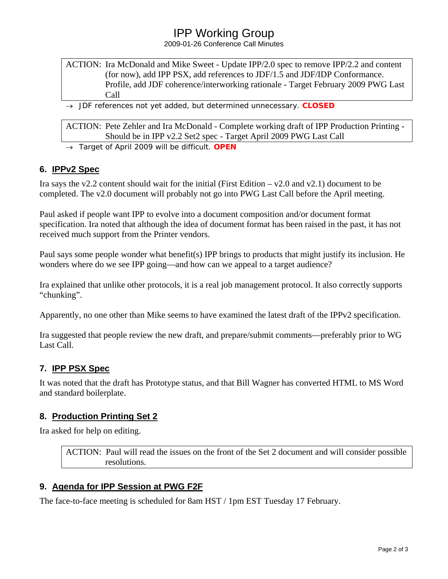# IPP Working Group

2009-01-26 Conference Call Minutes

#### ACTION: Ira McDonald and Mike Sweet - Update IPP/2.0 spec to remove IPP/2.2 and content (for now), add IPP PSX, add references to JDF/1.5 and JDF/IDP Conformance. Profile, add JDF coherence/interworking rationale - Target February 2009 PWG Last Call

→ *JDF references not yet added, but determined unnecessary. CLOSED* 

ACTION: Pete Zehler and Ira McDonald - Complete working draft of IPP Production Printing - Should be in IPP v2.2 Set2 spec - Target April 2009 PWG Last Call

→ *Target of April 2009 will be difficult. OPEN* 

#### **6. IPPv2 Spec**

Ira says the v2.2 content should wait for the initial (First Edition  $-\nu$ 2.0 and v2.1) document to be completed. The v2.0 document will probably not go into PWG Last Call before the April meeting.

Paul asked if people want IPP to evolve into a document composition and/or document format specification. Ira noted that although the idea of document format has been raised in the past, it has not received much support from the Printer vendors.

Paul says some people wonder what benefit(s) IPP brings to products that might justify its inclusion. He wonders where do we see IPP going—and how can we appeal to a target audience?

Ira explained that unlike other protocols, it is a real job management protocol. It also correctly supports "chunking".

Apparently, no one other than Mike seems to have examined the latest draft of the IPPv2 specification.

Ira suggested that people review the new draft, and prepare/submit comments—preferably prior to WG Last Call.

#### **7. IPP PSX Spec**

It was noted that the draft has Prototype status, and that Bill Wagner has converted HTML to MS Word and standard boilerplate.

#### **8. Production Printing Set 2**

Ira asked for help on editing.

ACTION: Paul will read the issues on the front of the Set 2 document and will consider possible resolutions.

#### **9. Agenda for IPP Session at PWG F2F**

The face-to-face meeting is scheduled for 8am HST / 1pm EST Tuesday 17 February.